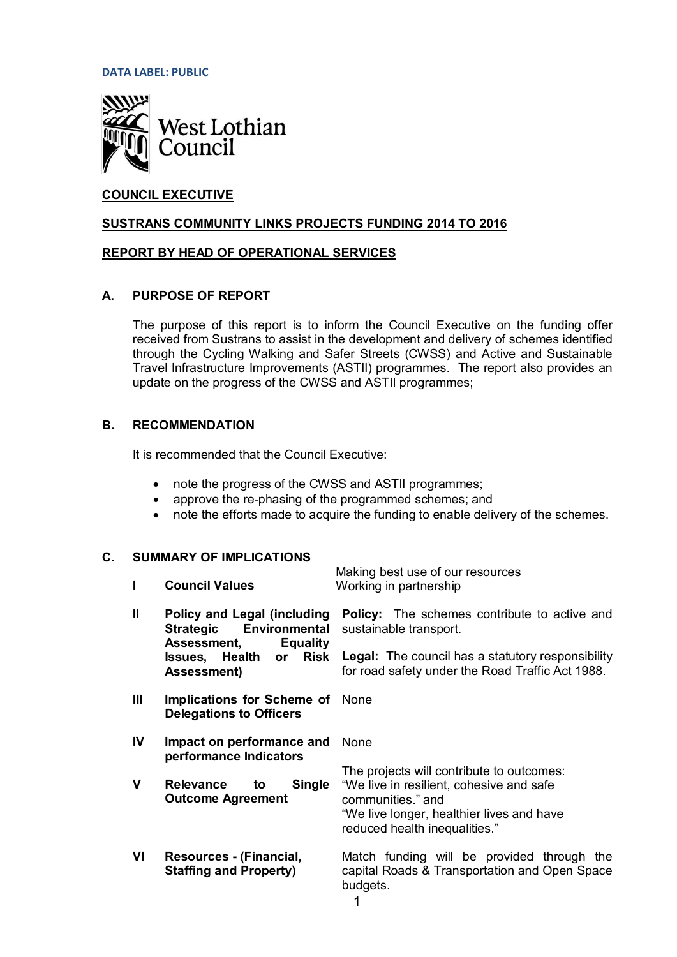**DATA LABEL: PUBLIC**



# **COUNCIL EXECUTIVE**

### **SUSTRANS COMMUNITY LINKS PROJECTS FUNDING 2014 TO 2016**

#### **REPORT BY HEAD OF OPERATIONAL SERVICES**

## **A. PURPOSE OF REPORT**

The purpose of this report is to inform the Council Executive on the funding offer received from Sustrans to assist in the development and delivery of schemes identified through the Cycling Walking and Safer Streets (CWSS) and Active and Sustainable Travel Infrastructure Improvements (ASTII) programmes. The report also provides an update on the progress of the CWSS and ASTII programmes;

## **B. RECOMMENDATION**

It is recommended that the Council Executive:

- note the progress of the CWSS and ASTII programmes;
- approve the re-phasing of the programmed schemes; and
- note the efforts made to acquire the funding to enable delivery of the schemes.

# **C. SUMMARY OF IMPLICATIONS**

|              | <b>JUITINAL UL INIFERATIONS</b>                                                                                  | Making best use of our resources                                                                                                                                                         |
|--------------|------------------------------------------------------------------------------------------------------------------|------------------------------------------------------------------------------------------------------------------------------------------------------------------------------------------|
|              | <b>Council Values</b>                                                                                            | Working in partnership                                                                                                                                                                   |
| $\mathbf{I}$ | <b>Policy and Legal (including</b><br><b>Environmental</b><br><b>Strategic</b><br>Assessment,<br><b>Equality</b> | <b>Policy:</b> The schemes contribute to active and<br>sustainable transport.                                                                                                            |
|              | <b>Risk</b><br><b>Issues, Health</b><br><b>or</b><br><b>Assessment)</b>                                          | <b>Legal:</b> The council has a statutory responsibility<br>for road safety under the Road Traffic Act 1988.                                                                             |
| Ш            | <b>Implications for Scheme of</b><br><b>Delegations to Officers</b>                                              | None                                                                                                                                                                                     |
| IV           | Impact on performance and<br>performance Indicators                                                              | <b>None</b>                                                                                                                                                                              |
| V            | <b>Single</b><br><b>Relevance</b><br>to<br><b>Outcome Agreement</b>                                              | The projects will contribute to outcomes:<br>"We live in resilient, cohesive and safe<br>communities." and<br>"We live longer, healthier lives and have<br>reduced health inequalities." |
| VI           | Resources - (Financial,<br><b>Staffing and Property)</b>                                                         | Match funding will be provided through the<br>capital Roads & Transportation and Open Space<br>budgets.<br>◢                                                                             |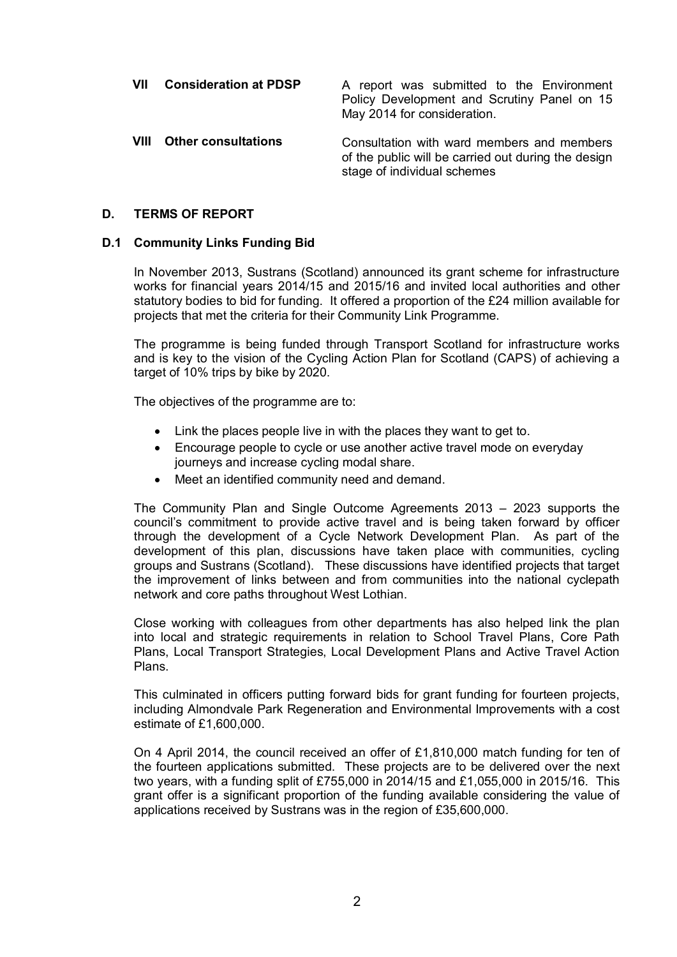**VII Consideration at PDSP** A report was submitted to the Environment Policy Development and Scrutiny Panel on 15 May 2014 for consideration. **VIII Other consultations** Consultation with ward members and members of the public will be carried out during the design stage of individual schemes

## **D. TERMS OF REPORT**

### **D.1 Community Links Funding Bid**

In November 2013, Sustrans (Scotland) announced its grant scheme for infrastructure works for financial years 2014/15 and 2015/16 and invited local authorities and other statutory bodies to bid for funding. It offered a proportion of the £24 million available for projects that met the criteria for their Community Link Programme.

The programme is being funded through Transport Scotland for infrastructure works and is key to the vision of the Cycling Action Plan for Scotland (CAPS) of achieving a target of 10% trips by bike by 2020.

The objectives of the programme are to:

- $\bullet$  Link the places people live in with the places they want to get to.
- Encourage people to cycle or use another active travel mode on everyday journeys and increase cycling modal share.
- Meet an identified community need and demand.

The Community Plan and Single Outcome Agreements 2013 – 2023 supports the council's commitment to provide active travel and is being taken forward by officer through the development of a Cycle Network Development Plan. As part of the development of this plan, discussions have taken place with communities, cycling groups and Sustrans (Scotland). These discussions have identified projects that target the improvement of links between and from communities into the national cyclepath network and core paths throughout West Lothian.

Close working with colleagues from other departments has also helped link the plan into local and strategic requirements in relation to School Travel Plans, Core Path Plans, Local Transport Strategies, Local Development Plans and Active Travel Action Plans.

This culminated in officers putting forward bids for grant funding for fourteen projects, including Almondvale Park Regeneration and Environmental Improvements with a cost estimate of £1,600,000.

On 4 April 2014, the council received an offer of £1,810,000 match funding for ten of the fourteen applications submitted. These projects are to be delivered over the next two years, with a funding split of £755,000 in 2014/15 and £1,055,000 in 2015/16. This grant offer is a significant proportion of the funding available considering the value of applications received by Sustrans was in the region of £35,600,000.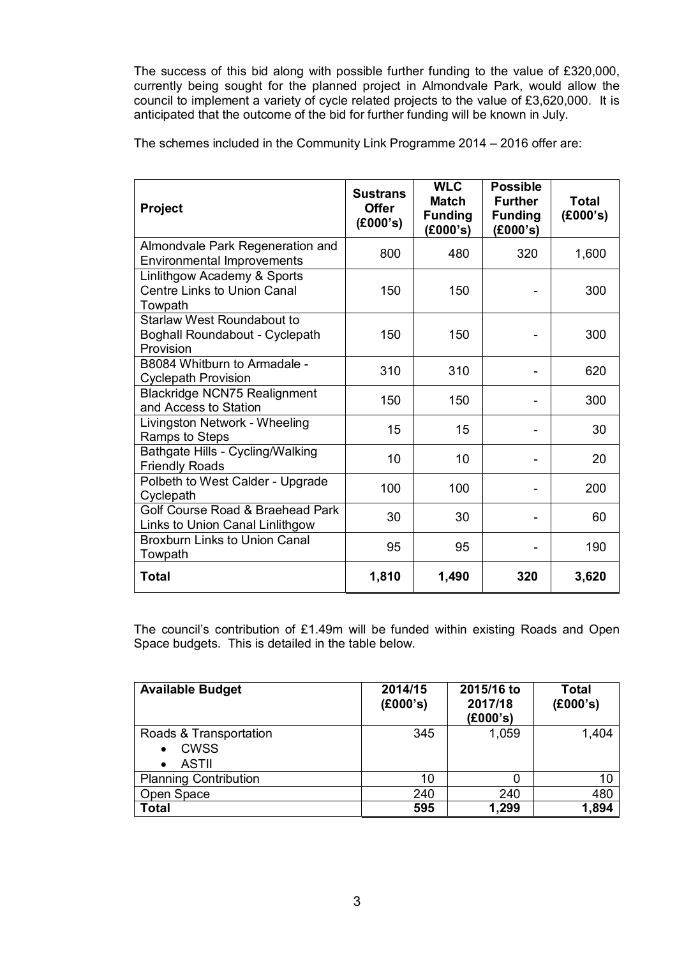The success of this bid along with possible further funding to the value of £320,000, currently being sought for the planned project in Almondvale Park, would allow the council to implement a variety of cycle related projects to the value of £3,620,000. It is anticipated that the outcome of the bid for further funding will be known in July.

The schemes included in the Community Link Programme 2014 – 2016 offer are:

| <b>Project</b>                                                                   | <b>Sustrans</b><br><b>Offer</b><br>(E000's) | <b>WLC</b><br><b>Match</b><br><b>Funding</b><br>(E000's) | <b>Possible</b><br><b>Further</b><br><b>Funding</b><br>(£000's) | Total<br>(£000's) |
|----------------------------------------------------------------------------------|---------------------------------------------|----------------------------------------------------------|-----------------------------------------------------------------|-------------------|
| Almondvale Park Regeneration and<br><b>Environmental Improvements</b>            | 800                                         | 480                                                      | 320                                                             | 1,600             |
| Linlithgow Academy & Sports<br>Centre Links to Union Canal<br>Towpath            | 150                                         | 150                                                      |                                                                 | 300               |
| <b>Starlaw West Roundabout to</b><br>Boghall Roundabout - Cyclepath<br>Provision | 150                                         | 150                                                      |                                                                 | 300               |
| B8084 Whitburn to Armadale -<br><b>Cyclepath Provision</b>                       | 310                                         | 310                                                      |                                                                 | 620               |
| <b>Blackridge NCN75 Realignment</b><br>and Access to Station                     | 150                                         | 150                                                      |                                                                 | 300               |
| Livingston Network - Wheeling<br>Ramps to Steps                                  | 15                                          | 15                                                       |                                                                 | 30                |
| Bathgate Hills - Cycling/Walking<br><b>Friendly Roads</b>                        | 10                                          | 10                                                       |                                                                 | 20                |
| Polbeth to West Calder - Upgrade<br>Cyclepath                                    | 100                                         | 100                                                      |                                                                 | 200               |
| Golf Course Road & Braehead Park<br>Links to Union Canal Linlithgow              | 30                                          | 30                                                       |                                                                 | 60                |
| <b>Broxburn Links to Union Canal</b><br>Towpath                                  | 95                                          | 95                                                       |                                                                 | 190               |
| <b>Total</b>                                                                     | 1,810                                       | 1,490                                                    | 320                                                             | 3,620             |

The council's contribution of £1.49m will be funded within existing Roads and Open Space budgets. This is detailed in the table below.

| <b>Available Budget</b>                                            | 2014/15<br>(E000's) | 2015/16 to<br>2017/18<br>(£000's) | Total<br>(E000's) |
|--------------------------------------------------------------------|---------------------|-----------------------------------|-------------------|
| Roads & Transportation<br><b>CWSS</b><br>$\bullet$<br><b>ASTII</b> | 345                 | 1,059                             | 1,404             |
| <b>Planning Contribution</b>                                       | 10                  |                                   | 10                |
| Open Space                                                         | 240                 | 240                               | 480               |
| Total                                                              | 595                 | 1,299                             | 1,894             |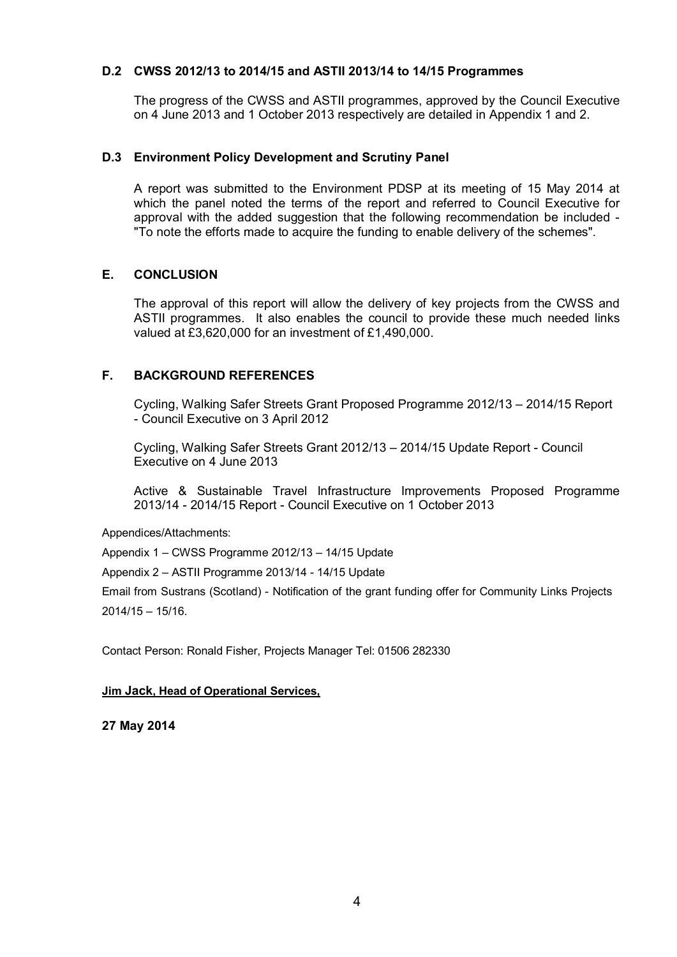### **D.2 CWSS 2012/13 to 2014/15 and ASTII 2013/14 to 14/15 Programmes**

The progress of the CWSS and ASTII programmes, approved by the Council Executive on 4 June 2013 and 1 October 2013 respectively are detailed in Appendix 1 and 2.

#### **D.3 Environment Policy Development and Scrutiny Panel**

A report was submitted to the Environment PDSP at its meeting of 15 May 2014 at which the panel noted the terms of the report and referred to Council Executive for approval with the added suggestion that the following recommendation be included - "To note the efforts made to acquire the funding to enable delivery of the schemes".

## **E. CONCLUSION**

The approval of this report will allow the delivery of key projects from the CWSS and ASTII programmes. It also enables the council to provide these much needed links valued at £3,620,000 for an investment of £1,490,000.

## **F. BACKGROUND REFERENCES**

Cycling, Walking Safer Streets Grant Proposed Programme 2012/13 – 2014/15 Report - Council Executive on 3 April 2012

Cycling, Walking Safer Streets Grant 2012/13 – 2014/15 Update Report - Council Executive on 4 June 2013

Active & Sustainable Travel Infrastructure Improvements Proposed Programme 2013/14 - 2014/15 Report - Council Executive on 1 October 2013

Appendices/Attachments:

Appendix 1 – CWSS Programme 2012/13 – 14/15 Update

Appendix 2 – ASTII Programme 2013/14 - 14/15 Update

Email from Sustrans (Scotland) - Notification of the grant funding offer for Community Links Projects 2014/15 – 15/16.

Contact Person: Ronald Fisher, Projects Manager Tel: 01506 282330

#### **Jim Jack, Head of Operational Services,**

**27 May 2014**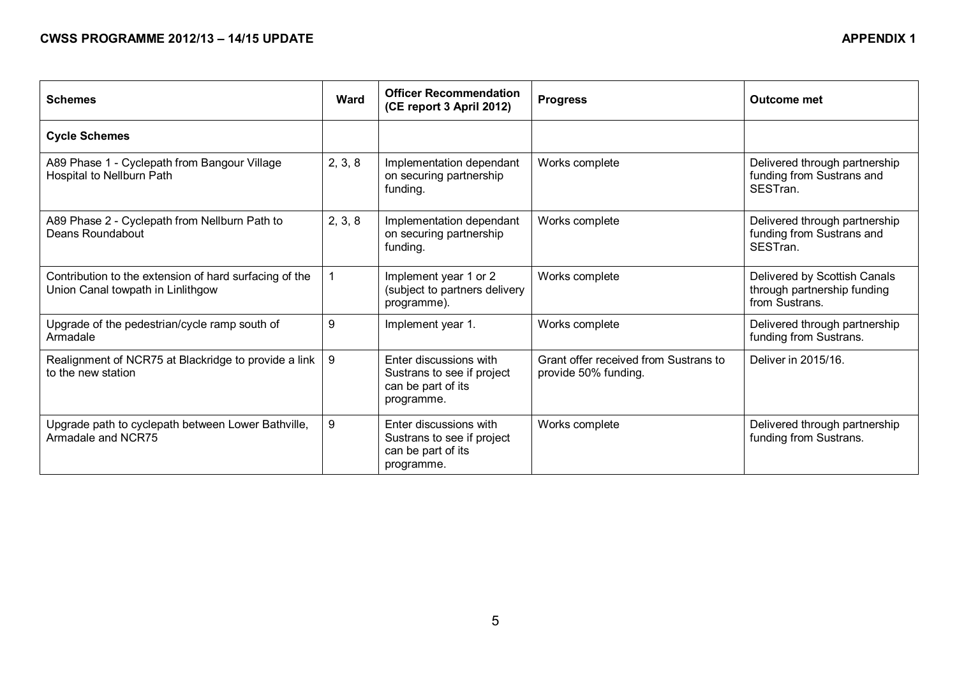| <b>Schemes</b>                                                                              | <b>Ward</b> | <b>Officer Recommendation</b><br>(CE report 3 April 2012)                                | <b>Progress</b>                                               | <b>Outcome met</b>                                                            |
|---------------------------------------------------------------------------------------------|-------------|------------------------------------------------------------------------------------------|---------------------------------------------------------------|-------------------------------------------------------------------------------|
| <b>Cycle Schemes</b>                                                                        |             |                                                                                          |                                                               |                                                                               |
| A89 Phase 1 - Cyclepath from Bangour Village<br>Hospital to Nellburn Path                   | 2, 3, 8     | Implementation dependant<br>on securing partnership<br>funding.                          | Works complete                                                | Delivered through partnership<br>funding from Sustrans and<br>SESTran.        |
| A89 Phase 2 - Cyclepath from Nellburn Path to<br>Deans Roundabout                           | 2, 3, 8     | Implementation dependant<br>on securing partnership<br>funding.                          | Works complete                                                | Delivered through partnership<br>funding from Sustrans and<br>SESTran.        |
| Contribution to the extension of hard surfacing of the<br>Union Canal towpath in Linlithgow |             | Implement year 1 or 2<br>(subject to partners delivery<br>programme).                    | Works complete                                                | Delivered by Scottish Canals<br>through partnership funding<br>from Sustrans. |
| Upgrade of the pedestrian/cycle ramp south of<br>Armadale                                   | 9           | Implement year 1.                                                                        | Works complete                                                | Delivered through partnership<br>funding from Sustrans.                       |
| Realignment of NCR75 at Blackridge to provide a link<br>to the new station                  | 9           | Enter discussions with<br>Sustrans to see if project<br>can be part of its<br>programme. | Grant offer received from Sustrans to<br>provide 50% funding. | Deliver in 2015/16.                                                           |
| Upgrade path to cyclepath between Lower Bathville,<br>Armadale and NCR75                    | 9           | Enter discussions with<br>Sustrans to see if project<br>can be part of its<br>programme. | Works complete                                                | Delivered through partnership<br>funding from Sustrans.                       |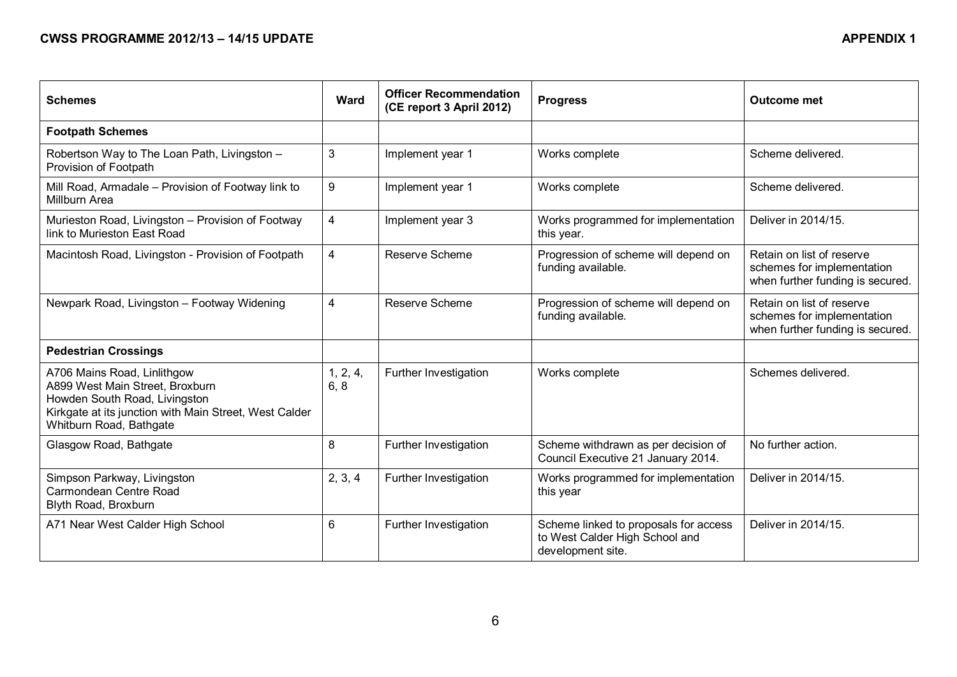| <b>Schemes</b>                                                                                                                                                                       | <b>Ward</b>      | <b>Officer Recommendation</b><br>(CE report 3 April 2012) | <b>Progress</b>                                                                              | <b>Outcome met</b>                                                                          |
|--------------------------------------------------------------------------------------------------------------------------------------------------------------------------------------|------------------|-----------------------------------------------------------|----------------------------------------------------------------------------------------------|---------------------------------------------------------------------------------------------|
| <b>Footpath Schemes</b>                                                                                                                                                              |                  |                                                           |                                                                                              |                                                                                             |
| Robertson Way to The Loan Path, Livingston -<br>Provision of Footpath                                                                                                                | $\mathbf{3}$     | Implement year 1                                          | Works complete                                                                               | Scheme delivered.                                                                           |
| Mill Road, Armadale - Provision of Footway link to<br>Millburn Area                                                                                                                  | 9                | Implement year 1                                          | Works complete                                                                               | Scheme delivered.                                                                           |
| Murieston Road, Livingston - Provision of Footway<br>link to Murieston East Road                                                                                                     | $\overline{4}$   | Implement year 3                                          | Works programmed for implementation<br>this year.                                            | Deliver in 2014/15.                                                                         |
| Macintosh Road, Livingston - Provision of Footpath                                                                                                                                   | $\overline{4}$   | Reserve Scheme                                            | Progression of scheme will depend on<br>funding available.                                   | Retain on list of reserve<br>schemes for implementation<br>when further funding is secured. |
| Newpark Road, Livingston - Footway Widening                                                                                                                                          | $\overline{4}$   | Reserve Scheme                                            | Progression of scheme will depend on<br>funding available.                                   | Retain on list of reserve<br>schemes for implementation<br>when further funding is secured. |
| <b>Pedestrian Crossings</b>                                                                                                                                                          |                  |                                                           |                                                                                              |                                                                                             |
| A706 Mains Road, Linlithgow<br>A899 West Main Street, Broxburn<br>Howden South Road, Livingston<br>Kirkgate at its junction with Main Street, West Calder<br>Whitburn Road, Bathgate | 1, 2, 4,<br>6, 8 | Further Investigation                                     | Works complete                                                                               | Schemes delivered.                                                                          |
| Glasgow Road, Bathgate                                                                                                                                                               | 8                | Further Investigation                                     | Scheme withdrawn as per decision of<br>Council Executive 21 January 2014.                    | No further action.                                                                          |
| Simpson Parkway, Livingston<br>Carmondean Centre Road<br>Blyth Road, Broxburn                                                                                                        | 2, 3, 4          | Further Investigation                                     | Works programmed for implementation<br>this year                                             | Deliver in 2014/15.                                                                         |
| A71 Near West Calder High School                                                                                                                                                     | $6\phantom{1}$   | Further Investigation                                     | Scheme linked to proposals for access<br>to West Calder High School and<br>development site. | Deliver in 2014/15.                                                                         |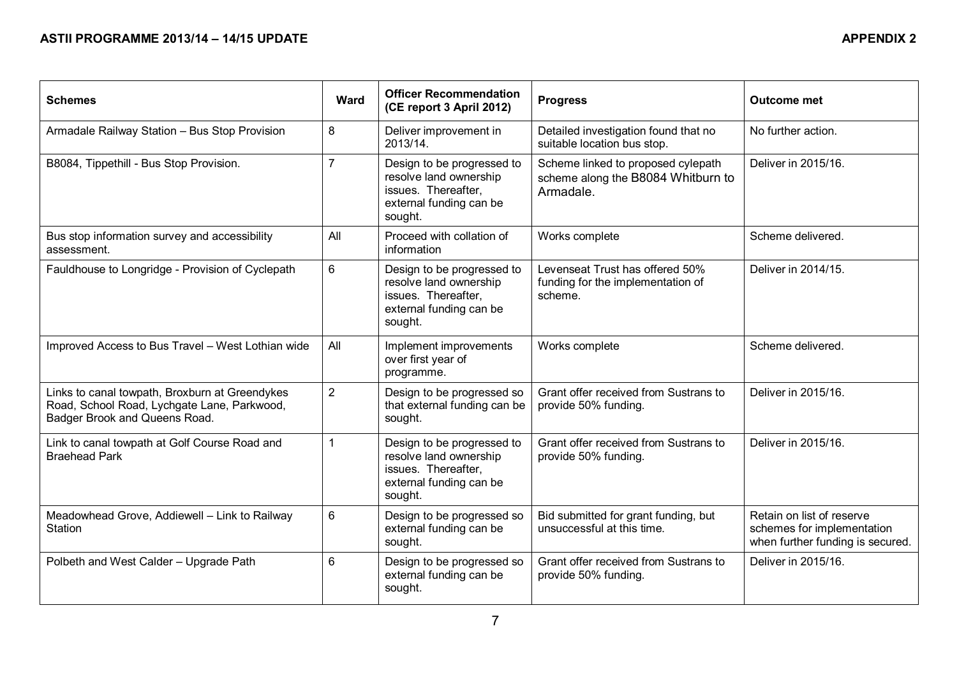| <b>Schemes</b>                                                                                                                 | Ward           | <b>Officer Recommendation</b><br>(CE report 3 April 2012)                                                         | <b>Progress</b>                                                                       | <b>Outcome met</b>                                                                          |
|--------------------------------------------------------------------------------------------------------------------------------|----------------|-------------------------------------------------------------------------------------------------------------------|---------------------------------------------------------------------------------------|---------------------------------------------------------------------------------------------|
| Armadale Railway Station - Bus Stop Provision                                                                                  | 8              | Deliver improvement in<br>2013/14.                                                                                | Detailed investigation found that no<br>suitable location bus stop.                   | No further action.                                                                          |
| B8084, Tippethill - Bus Stop Provision.                                                                                        | $\overline{7}$ | Design to be progressed to<br>resolve land ownership<br>issues. Thereafter,<br>external funding can be<br>sought. | Scheme linked to proposed cylepath<br>scheme along the B8084 Whitburn to<br>Armadale. | Deliver in 2015/16.                                                                         |
| Bus stop information survey and accessibility<br>assessment.                                                                   | All            | Proceed with collation of<br>information                                                                          | Works complete                                                                        | Scheme delivered.                                                                           |
| Fauldhouse to Longridge - Provision of Cyclepath                                                                               | 6              | Design to be progressed to<br>resolve land ownership<br>issues. Thereafter,<br>external funding can be<br>sought. | Levenseat Trust has offered 50%<br>funding for the implementation of<br>scheme.       | Deliver in 2014/15.                                                                         |
| Improved Access to Bus Travel - West Lothian wide                                                                              | All            | Implement improvements<br>over first year of<br>programme.                                                        | Works complete                                                                        | Scheme delivered.                                                                           |
| Links to canal towpath, Broxburn at Greendykes<br>Road, School Road, Lychgate Lane, Parkwood,<br>Badger Brook and Queens Road. | $\overline{2}$ | Design to be progressed so<br>that external funding can be<br>sought.                                             | Grant offer received from Sustrans to<br>provide 50% funding.                         | Deliver in 2015/16.                                                                         |
| Link to canal towpath at Golf Course Road and<br><b>Braehead Park</b>                                                          | $\overline{1}$ | Design to be progressed to<br>resolve land ownership<br>issues. Thereafter,<br>external funding can be<br>sought. | Grant offer received from Sustrans to<br>provide 50% funding.                         | Deliver in 2015/16.                                                                         |
| Meadowhead Grove, Addiewell - Link to Railway<br>Station                                                                       | $6\phantom{1}$ | Design to be progressed so<br>external funding can be<br>sought.                                                  | Bid submitted for grant funding, but<br>unsuccessful at this time.                    | Retain on list of reserve<br>schemes for implementation<br>when further funding is secured. |
| Polbeth and West Calder - Upgrade Path                                                                                         | $6\phantom{1}$ | Design to be progressed so<br>external funding can be<br>sought.                                                  | Grant offer received from Sustrans to<br>provide 50% funding.                         | Deliver in 2015/16.                                                                         |